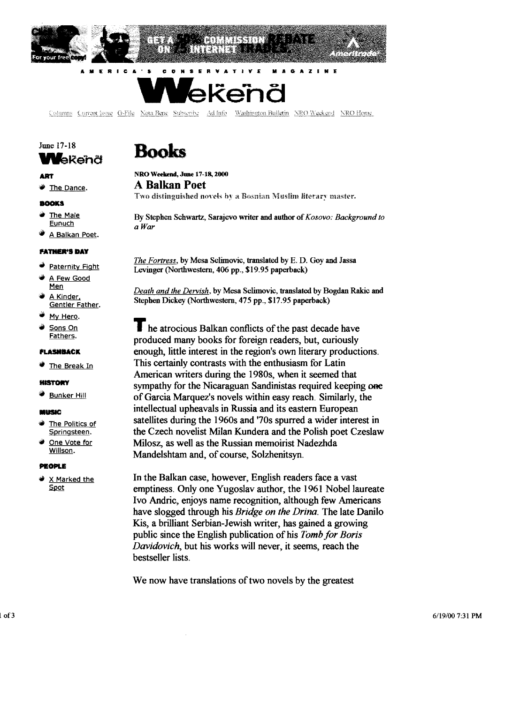

 $\overline{B}$  **D**  $\overline{B}$  **D** 

 $\mathbf{z}$  $\bullet$ 



RI II LEAR

Columns Corrent Issue G-File Nota Bene Subscribe Ad Info-Washington Bulletin NRO Weekend NRO Home

# June 17-18 Wekend

#### ART

The Dance.

#### **BOOKS**

- The Male Eunuch
- A Balkan Poet.

#### **FATHER'S DAY**

- **Paternity Fight**
- A Few Good Men
- A Kinder, Gentler Father.
- My Hero.
- Sons On Fathers.

### **FLASHBACK**

The Break In

#### **HISTORY**

**Bunker Hill** 

#### ansekar:

- The Politics of Springsteen.
- One Vote for Willson.

### **PEOPLE**

X Marked the Spot

# **Books**

## NRO Weekend, June 17-18, 2000 **A Balkan Poet** Two distinguished novels by a Bosnian Muslim literary master.

By Stephen Schwartz, Sarajevo writer and author of Kosovo: Background to  $\alpha$  War

The Fortress, by Mesa Selimovic, translated by E. D. Gov and Jassa Levinger (Northwestern, 406 pp., \$19.95 paperback)

Death and the Dervish, by Mesa Selimovic, translated by Bogdan Rakic and Stephen Dickey (Northwestern, 475 pp., \$17.95 paperback)

The atrocious Balkan conflicts of the past decade have produced many books for foreign readers, but, curiously enough, little interest in the region's own literary productions. This certainly contrasts with the enthusiasm for Latin American writers during the 1980s, when it seemed that sympathy for the Nicaraguan Sandinistas required keeping one of Garcia Marquez's novels within easy reach. Similarly, the intellectual upheavals in Russia and its eastern European satellites during the 1960s and '70s spurred a wider interest in the Czech novelist Milan Kundera and the Polish poet Czeslaw Milosz, as well as the Russian memoirist Nadezhda Mandelshtam and, of course, Solzhenitsyn.

In the Balkan case, however, English readers face a vast emptiness. Only one Yugoslav author, the 1961 Nobel laureate Ivo Andric, enjoys name recognition, although few Americans have slogged through his Bridge on the Drina. The late Danilo Kis, a brilliant Serbian-Jewish writer, has gained a growing public since the English publication of his Tomb for Boris Davidovich, but his works will never, it seems, reach the bestseller lists.

We now have translations of two novels by the greatest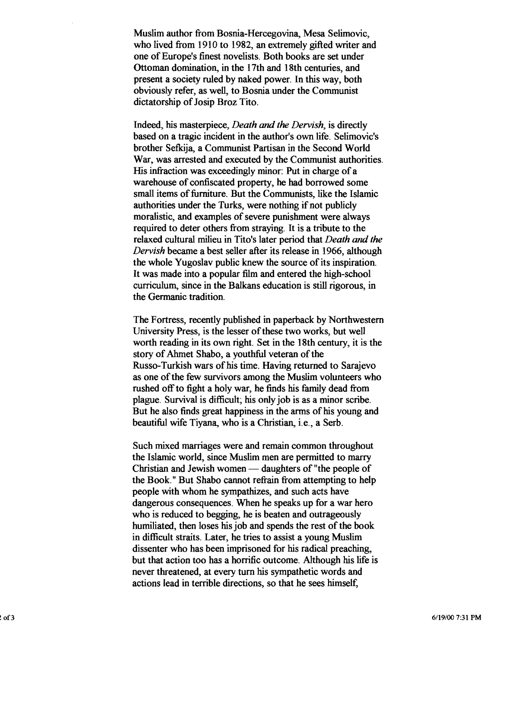Muslim author from Bosnia-Hercegovina, Mesa Selimovic, who lived from 1910 to 1982, an extremely gifted writer and one of Europe's finest novelists. Both books are set under Ottoman domination, in the 17th and 18th centuries, and present a society ruled by naked power. In this way, both obviously refer, as well, to Bosnia under the Communist dictatorship of Josip Broz Tito.

Indeed, his masterpiece, *Death and the Dervish,* is directly based on a tragic incident in the author's own life. Selimovic's brother Sefkija, a Communist Partisan in the Second World War, was arrested and executed by the Communist authorities. His infraction was exceedingly minor: Put in charge of a warehouse of confiscated property, he had borrowed some small items of furniture. But the Communists, like the Islamic authorities under the Turks, were nothing if not publicly moralistic, and examples of severe punishment were always required to deter others from straying. It is a tribute to the relaxed cultural milieu in Tito's later period that *Death and the Dervish* became a best seller after its release in 1966, although the whole Yugoslav public knew the source of its inspiration. It was made into a popular film and entered the high-school curriculum, since in the Balkans education is still rigorous, in the Germanic tradition.

The Fortress, recently published in paperback by Northwestern University Press, is the lesser of these two works, but well worth reading in its own right. Set in the 18th century, it is the story of Ahmet Shabo, a youthful veteran of the Russo-Turkish wars of his time. Having returned to Sarajevo as one of the few survivors among the Muslim volunteers who rushed off to fight a holy war, he finds his family dead from plague. Survival is difficult; his only job is as a minor scribe. But he also finds great happiness in the arms of his young and beautiful wife Tiyana, who is a Christian, i.e., a Serb.

Such mixed marriages were and remain common throughout the Islamic world, since Muslim men are permitted to marry Christian and Jewish women — daughters of "the people of the Book. " But Shabo cannot refrain from attempting to help people with whom he sympathizes, and such acts have dangerous consequences. When he speaks up for a war hero who is reduced to begging, he is beaten and outrageously humiliated, then loses his job and spends the rest of the book in difficult straits. Later, he tries to assist a young Muslim dissenter who has been imprisoned for his radical preaching, but that action too has a horrific outcome. Although his life is never threatened, at every tum his sympathetic words and actions lead in terrible directions, so that he sees himself,